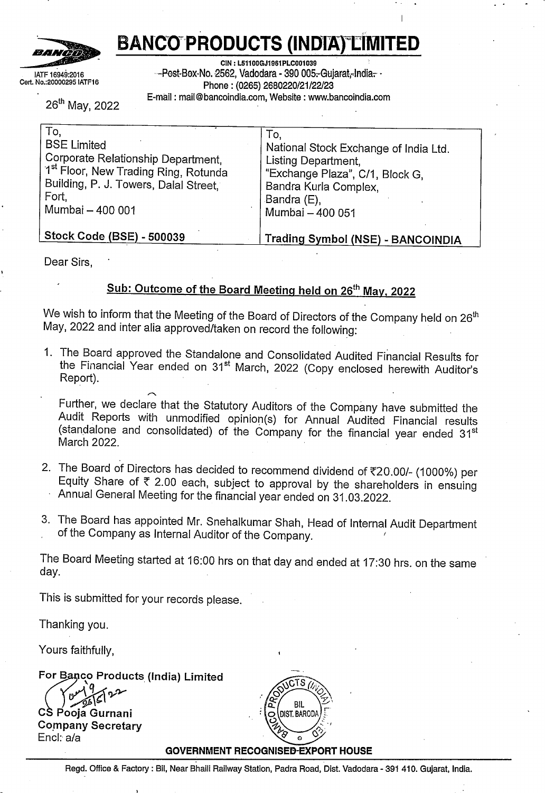

# **BANCO PRODUCTS (INDIA) LIMITED**

IATF 16949:2016 Cert. No.:20000295 IATF16

**CIN : L51100GJ1961PLC001039** --Post-Box-No. 2562, Vadodara - 390 005.-Gujarat,-India.-Phone: (0265) 2680220/21/22/23 E-mail: mail@bancoindia.com, Website : www.bancoindia.com

26" May, <sup>2022</sup>

| To,                                   | To,                                      |
|---------------------------------------|------------------------------------------|
| <b>BSE Limited</b>                    | National Stock Exchange of India Ltd.    |
| Corporate Relationship Department,    | Listing Department,                      |
| 1st Floor, New Trading Ring, Rotunda  | "Exchange Plaza", C/1, Block G,          |
| Building, P. J. Towers, Dalal Street, | Bandra Kurla Complex,                    |
| Fort,                                 | Bandra (E),                              |
| Mumbai - 400 001                      | Mumbai - 400 051                         |
| Stock Code (BSE) - 500039             | <b>Trading Symbol (NSE) - BANCOINDIA</b> |

Dear Sirs,

# **Sub: Outcome of the Board Meeting held on 25 th May, 2022**

We wish to inform that the Meeting of the Board of Directors of the Company held on  $26<sup>th</sup>$ May, <sup>2022</sup> and inter alia approved/taken on record the following:

1. The Board approved the Standalone and Consolidated Audited Financial Results for the Financial Year ended on 31<sup>st</sup> March, 2022 (Copy enclosed herewith Auditor's<br>Report).

Further, we declare that the Statutory Auditors of the Company have submitted the Audit Reports with unmodified opinion(s) for Annual Audited Financial results (standalone and consolidated) of the Company for the financial year ended 31<sup>st</sup> March 2022.

- 2. The Board of Directors has decided to recommend dividend of  $\overline{20.00}$ /- (1000%) per Equity Share of *t* 2.00 each, subject to approval by the shareholders in ensuing Annual General Meeting for the financial year ended on 31.03.2022.
- 3. The Board has appointed Mr. Snehalkumar Shah, Head of Internal Audit Department of the Company as Internal Auditor of the Company.

The Board Meeting started at 16:00 hrs on that day and ended at 17:30 hrs. on the same day.

This is submitted for your records please.

Thanking you.

Yours faithfully,

 $For Baneo$  **Products** (India) Limited

or Banco Product<br>CS Pooja Gurnani **Company Secretary** Encl: *ala*



#### **GOVERNMENT RECOGNISED-EXPORT HOUSE**

Regd. Office & Factory : Bil, Near Bhaili Railway Station, Padra Road, Dist. Vadodara - <sup>391</sup> 410. Gujarat, India.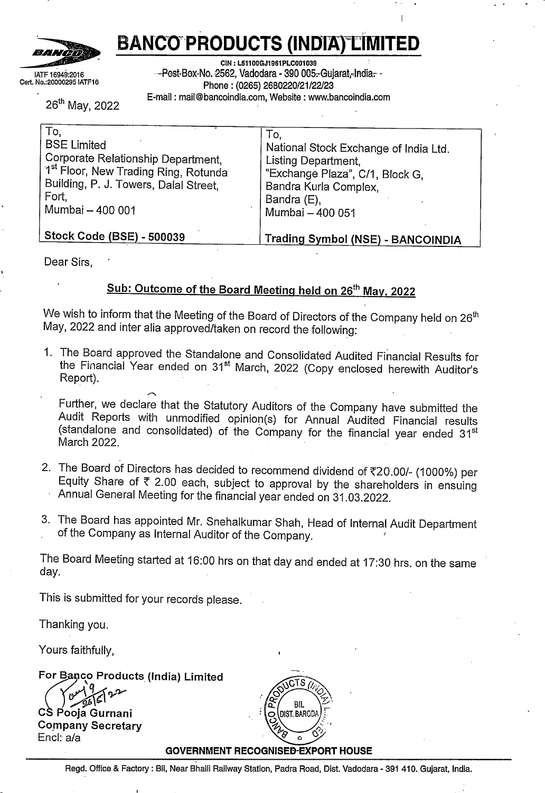| AUDITED FINANCIAL RESULTS FOR THE QUARTER AND YEAR ENDED 31ST MARCH,2022                   |
|--------------------------------------------------------------------------------------------|
| «EBSITE:-WWW.BANCOINDIA.COM. E-MAIL:-INVESTOR@BANCOINDIA.COM. CIN NO:-L51100GI1961PLC0010- |
|                                                                                            |
|                                                                                            |

| Quarter Ended<br><b>STANDALONE</b><br>Year Ended<br>Quarter Ended<br>Year Ended<br>$S_{r}$<br>No.<br>31.03.2022<br>31.12.2021<br>31.03.2021<br>31.03.2022<br>31.03.2021<br>31.03.2022<br>(Audited)<br>31.12.2021<br>(Unaudited)<br>31.03.2021<br>(Audited)<br>31.03.2022<br>(Audited)<br>31.03.2021<br>(Audited)<br>(Audited)<br>(Unaudited)<br>(Audited)<br>(Audited)<br>(Audited)<br><b>Revenue from Operations</b><br>1<br>49,900<br>39,263<br>43,820<br>1,92,691<br>1,51,103<br>(a) Gross Sales<br>771<br>22,164<br>974<br>18,396<br>658<br>20,157<br>3,110<br>77,222<br>2,155<br>63,745<br>(b) Other operating Income<br>507<br>$-74$<br>(263)<br>779<br>502<br>104<br>2,315<br>499<br>1,616<br>903<br>$\boldsymbol{2}$<br>Other Income<br>287<br>50,597<br>81<br>39,974<br>44,582<br>(139)<br>2,905<br>1,96,300<br>1,54,161<br>Total Income from Operations (Net)<br>22,958<br>19,256<br>20,520<br>82,442<br>66,166<br>3<br><b>Expenses</b><br>38,561<br>33,760<br>32,407<br>1,30,109<br>93,633<br>(a) Cost of Materials Consumed<br>13,252<br>13,323<br>12,875<br>52,736<br>38,301<br>(b) Purchase of Stock-in-Trade<br>(8,994)<br>(10, 196)<br>(4, 516)<br>(13, 207)<br>(5,759)<br>(c) Changes in Inventories of Finished Goods, Work-in-<br>1,318<br>(1, 312)<br>(202)<br>(2, 229)<br>progress and Stock-in-trade<br>5,385<br>4,667<br>5,128<br>19,610<br>18,561<br>(d) Employee Benefits Expenses<br>1,131<br>277<br>1,031<br>66<br>197<br>1,019<br>526<br>4,240<br>362<br>(e) Finance Cost<br>2,377<br>$\boldsymbol{4}$<br>12<br>813<br>802<br>39<br>4,787<br>36<br>3,368<br>(f) Depreciation and Amortization Expenses<br>7,740<br>489<br>8,037<br>496<br>8,798<br>500<br>1,974<br>32,099<br>29,012<br>(g) Other Expenses<br>4,042<br>45,346<br>37,147<br>3,648<br>42,816<br>3,862<br>1,73,924<br>14,685<br>11,811<br>1,39,177<br><b>Total Expenses</b><br>20,236<br>5,251<br>17,198<br>2,827<br>18,093<br>1,766<br>22,376<br>71,442<br>14,984<br>Profit / (Loss) before exceptional items, extraordinary<br>2,722<br>2,058<br>2,427<br>11,000<br>items and taxes<br>$\sim$<br>Exceptional items<br>5<br>5,251<br>2,827<br>1,766<br>22,376<br>14,984<br>Profit / (Loss) from Ordinary Activities before<br>2,722<br>6<br>2,058<br>2,427<br>11,000<br>extraordinary items and taxes<br>$\sim$<br>7<br>Extraordinary items<br>5,251<br>2,827<br>1,766<br>22,376<br>$\ddot{\phantom{a}}$<br>14,984<br>8<br>Profit / (Loss) before taxes<br>2,722<br>2,058<br>2,427<br>11,000<br>9<br>Tax Expenses<br>1,219<br>1,063<br>1,382<br>6,124<br>4,312<br>Current<br>741<br>13<br>54<br>548<br>(1, 455)<br>(377)<br>1,010<br>2,413<br>(701)<br>Deferred<br>4,019<br>71<br>1,710<br>-9<br>1,839<br>46<br>15,242<br>21<br>11,373<br>Net Profit / (Loss) for the Period<br>10<br>1,910<br>1,501<br>2,758<br>8,566<br>11<br>Other Comprehensive Income, net of tax<br>Items that will not be reclassified to profit or loss<br>$\overline{7}$<br>17<br>$\blacksquare$<br>(144)<br>19<br>(a) Remeasurement of the net defined benefit<br>(1)<br>12<br>(112)<br>liability/assets<br>664<br>$\ddot{\phantom{1}}$<br>17<br>(b) Remeasurement of financial instruments<br>349<br>232<br>$\blacksquare$<br>23<br>664<br>1,662<br>869<br>(c) Exchange difference arrising on translation of foreign<br>$\overline{\phantom{a}}$<br>٠<br>operations<br>356<br>232<br>704<br>1,518<br>905<br>Total OCI attrituable to Owners<br>4,375<br>(1)<br>1,942<br>2,543<br>676<br>16,760<br>$-112$<br>12,278<br>Total Comprehensive income attributable to owners<br>12<br>1,909<br>1,501<br>3,434<br>8,454<br>8,036<br>1,430<br>1,430<br>1,430<br>1,430<br>1,430<br>Paid-up Equity Share Capital (Face value of Rs.2 Per<br>13<br>1,430<br>1,430<br>1,430<br>1,430<br>1,430<br>Share)<br>$\blacksquare$<br>96,687<br>81,359<br>14<br>Reserves excluding Revaluation Reserve<br>$\tilde{\phantom{a}}$<br>$\blacksquare$<br>$\omega$<br>67,059<br>60,036<br>15<br>Earning per share<br>5.62<br>2.39<br>$\bullet$<br>2.57<br>21.31<br>15.90<br>(a) Basic and Diluted Earning per Share (before<br>2.67<br>2.10<br>3.86<br>11.98<br>Exceptional items) |      |      | <b>CONSOLIDATED</b> |       |  | WEBSITE :- WWW.BANCOINDIA.COM, E-MAIL:- INVESTOR@BANCOINDIA.COM, CIN NO:- L51100GJ1961PLC001039<br>Particulars |  |  | (Rs in Lakhs) |
|--------------------------------------------------------------------------------------------------------------------------------------------------------------------------------------------------------------------------------------------------------------------------------------------------------------------------------------------------------------------------------------------------------------------------------------------------------------------------------------------------------------------------------------------------------------------------------------------------------------------------------------------------------------------------------------------------------------------------------------------------------------------------------------------------------------------------------------------------------------------------------------------------------------------------------------------------------------------------------------------------------------------------------------------------------------------------------------------------------------------------------------------------------------------------------------------------------------------------------------------------------------------------------------------------------------------------------------------------------------------------------------------------------------------------------------------------------------------------------------------------------------------------------------------------------------------------------------------------------------------------------------------------------------------------------------------------------------------------------------------------------------------------------------------------------------------------------------------------------------------------------------------------------------------------------------------------------------------------------------------------------------------------------------------------------------------------------------------------------------------------------------------------------------------------------------------------------------------------------------------------------------------------------------------------------------------------------------------------------------------------------------------------------------------------------------------------------------------------------------------------------------------------------------------------------------------------------------------------------------------------------------------------------------------------------------------------------------------------------------------------------------------------------------------------------------------------------------------------------------------------------------------------------------------------------------------------------------------------------------------------------------------------------------------------------------------------------------------------------------------------------------------------------------------------------------------------------------------------------------------------------------------------------------------------------------------------------------------------------------------------------------------------------------------------------------------------------------------------------------------------------------------------------------------------------------------------------------------------------------------------------------------------------------------------------------------------------------------------------------------------------------------------------------------------------------------------------------------------------------------------------------------------------------------------------------------------------------------------------------------------------------------------------------------------------------------------------------------------------------------------------|------|------|---------------------|-------|--|----------------------------------------------------------------------------------------------------------------|--|--|---------------|
|                                                                                                                                                                                                                                                                                                                                                                                                                                                                                                                                                                                                                                                                                                                                                                                                                                                                                                                                                                                                                                                                                                                                                                                                                                                                                                                                                                                                                                                                                                                                                                                                                                                                                                                                                                                                                                                                                                                                                                                                                                                                                                                                                                                                                                                                                                                                                                                                                                                                                                                                                                                                                                                                                                                                                                                                                                                                                                                                                                                                                                                                                                                                                                                                                                                                                                                                                                                                                                                                                                                                                                                                                                                                                                                                                                                                                                                                                                                                                                                                                                                                                                                                |      |      |                     |       |  |                                                                                                                |  |  |               |
|                                                                                                                                                                                                                                                                                                                                                                                                                                                                                                                                                                                                                                                                                                                                                                                                                                                                                                                                                                                                                                                                                                                                                                                                                                                                                                                                                                                                                                                                                                                                                                                                                                                                                                                                                                                                                                                                                                                                                                                                                                                                                                                                                                                                                                                                                                                                                                                                                                                                                                                                                                                                                                                                                                                                                                                                                                                                                                                                                                                                                                                                                                                                                                                                                                                                                                                                                                                                                                                                                                                                                                                                                                                                                                                                                                                                                                                                                                                                                                                                                                                                                                                                |      |      |                     |       |  |                                                                                                                |  |  |               |
|                                                                                                                                                                                                                                                                                                                                                                                                                                                                                                                                                                                                                                                                                                                                                                                                                                                                                                                                                                                                                                                                                                                                                                                                                                                                                                                                                                                                                                                                                                                                                                                                                                                                                                                                                                                                                                                                                                                                                                                                                                                                                                                                                                                                                                                                                                                                                                                                                                                                                                                                                                                                                                                                                                                                                                                                                                                                                                                                                                                                                                                                                                                                                                                                                                                                                                                                                                                                                                                                                                                                                                                                                                                                                                                                                                                                                                                                                                                                                                                                                                                                                                                                |      |      |                     |       |  |                                                                                                                |  |  |               |
|                                                                                                                                                                                                                                                                                                                                                                                                                                                                                                                                                                                                                                                                                                                                                                                                                                                                                                                                                                                                                                                                                                                                                                                                                                                                                                                                                                                                                                                                                                                                                                                                                                                                                                                                                                                                                                                                                                                                                                                                                                                                                                                                                                                                                                                                                                                                                                                                                                                                                                                                                                                                                                                                                                                                                                                                                                                                                                                                                                                                                                                                                                                                                                                                                                                                                                                                                                                                                                                                                                                                                                                                                                                                                                                                                                                                                                                                                                                                                                                                                                                                                                                                |      |      |                     |       |  |                                                                                                                |  |  |               |
|                                                                                                                                                                                                                                                                                                                                                                                                                                                                                                                                                                                                                                                                                                                                                                                                                                                                                                                                                                                                                                                                                                                                                                                                                                                                                                                                                                                                                                                                                                                                                                                                                                                                                                                                                                                                                                                                                                                                                                                                                                                                                                                                                                                                                                                                                                                                                                                                                                                                                                                                                                                                                                                                                                                                                                                                                                                                                                                                                                                                                                                                                                                                                                                                                                                                                                                                                                                                                                                                                                                                                                                                                                                                                                                                                                                                                                                                                                                                                                                                                                                                                                                                |      |      |                     |       |  |                                                                                                                |  |  |               |
|                                                                                                                                                                                                                                                                                                                                                                                                                                                                                                                                                                                                                                                                                                                                                                                                                                                                                                                                                                                                                                                                                                                                                                                                                                                                                                                                                                                                                                                                                                                                                                                                                                                                                                                                                                                                                                                                                                                                                                                                                                                                                                                                                                                                                                                                                                                                                                                                                                                                                                                                                                                                                                                                                                                                                                                                                                                                                                                                                                                                                                                                                                                                                                                                                                                                                                                                                                                                                                                                                                                                                                                                                                                                                                                                                                                                                                                                                                                                                                                                                                                                                                                                |      |      |                     |       |  |                                                                                                                |  |  |               |
|                                                                                                                                                                                                                                                                                                                                                                                                                                                                                                                                                                                                                                                                                                                                                                                                                                                                                                                                                                                                                                                                                                                                                                                                                                                                                                                                                                                                                                                                                                                                                                                                                                                                                                                                                                                                                                                                                                                                                                                                                                                                                                                                                                                                                                                                                                                                                                                                                                                                                                                                                                                                                                                                                                                                                                                                                                                                                                                                                                                                                                                                                                                                                                                                                                                                                                                                                                                                                                                                                                                                                                                                                                                                                                                                                                                                                                                                                                                                                                                                                                                                                                                                |      |      |                     |       |  |                                                                                                                |  |  |               |
|                                                                                                                                                                                                                                                                                                                                                                                                                                                                                                                                                                                                                                                                                                                                                                                                                                                                                                                                                                                                                                                                                                                                                                                                                                                                                                                                                                                                                                                                                                                                                                                                                                                                                                                                                                                                                                                                                                                                                                                                                                                                                                                                                                                                                                                                                                                                                                                                                                                                                                                                                                                                                                                                                                                                                                                                                                                                                                                                                                                                                                                                                                                                                                                                                                                                                                                                                                                                                                                                                                                                                                                                                                                                                                                                                                                                                                                                                                                                                                                                                                                                                                                                |      |      |                     |       |  |                                                                                                                |  |  | 805           |
|                                                                                                                                                                                                                                                                                                                                                                                                                                                                                                                                                                                                                                                                                                                                                                                                                                                                                                                                                                                                                                                                                                                                                                                                                                                                                                                                                                                                                                                                                                                                                                                                                                                                                                                                                                                                                                                                                                                                                                                                                                                                                                                                                                                                                                                                                                                                                                                                                                                                                                                                                                                                                                                                                                                                                                                                                                                                                                                                                                                                                                                                                                                                                                                                                                                                                                                                                                                                                                                                                                                                                                                                                                                                                                                                                                                                                                                                                                                                                                                                                                                                                                                                |      |      |                     |       |  |                                                                                                                |  |  |               |
|                                                                                                                                                                                                                                                                                                                                                                                                                                                                                                                                                                                                                                                                                                                                                                                                                                                                                                                                                                                                                                                                                                                                                                                                                                                                                                                                                                                                                                                                                                                                                                                                                                                                                                                                                                                                                                                                                                                                                                                                                                                                                                                                                                                                                                                                                                                                                                                                                                                                                                                                                                                                                                                                                                                                                                                                                                                                                                                                                                                                                                                                                                                                                                                                                                                                                                                                                                                                                                                                                                                                                                                                                                                                                                                                                                                                                                                                                                                                                                                                                                                                                                                                |      |      |                     |       |  |                                                                                                                |  |  |               |
|                                                                                                                                                                                                                                                                                                                                                                                                                                                                                                                                                                                                                                                                                                                                                                                                                                                                                                                                                                                                                                                                                                                                                                                                                                                                                                                                                                                                                                                                                                                                                                                                                                                                                                                                                                                                                                                                                                                                                                                                                                                                                                                                                                                                                                                                                                                                                                                                                                                                                                                                                                                                                                                                                                                                                                                                                                                                                                                                                                                                                                                                                                                                                                                                                                                                                                                                                                                                                                                                                                                                                                                                                                                                                                                                                                                                                                                                                                                                                                                                                                                                                                                                |      |      |                     |       |  |                                                                                                                |  |  |               |
|                                                                                                                                                                                                                                                                                                                                                                                                                                                                                                                                                                                                                                                                                                                                                                                                                                                                                                                                                                                                                                                                                                                                                                                                                                                                                                                                                                                                                                                                                                                                                                                                                                                                                                                                                                                                                                                                                                                                                                                                                                                                                                                                                                                                                                                                                                                                                                                                                                                                                                                                                                                                                                                                                                                                                                                                                                                                                                                                                                                                                                                                                                                                                                                                                                                                                                                                                                                                                                                                                                                                                                                                                                                                                                                                                                                                                                                                                                                                                                                                                                                                                                                                |      |      |                     |       |  |                                                                                                                |  |  |               |
|                                                                                                                                                                                                                                                                                                                                                                                                                                                                                                                                                                                                                                                                                                                                                                                                                                                                                                                                                                                                                                                                                                                                                                                                                                                                                                                                                                                                                                                                                                                                                                                                                                                                                                                                                                                                                                                                                                                                                                                                                                                                                                                                                                                                                                                                                                                                                                                                                                                                                                                                                                                                                                                                                                                                                                                                                                                                                                                                                                                                                                                                                                                                                                                                                                                                                                                                                                                                                                                                                                                                                                                                                                                                                                                                                                                                                                                                                                                                                                                                                                                                                                                                |      |      |                     |       |  |                                                                                                                |  |  | (18)          |
|                                                                                                                                                                                                                                                                                                                                                                                                                                                                                                                                                                                                                                                                                                                                                                                                                                                                                                                                                                                                                                                                                                                                                                                                                                                                                                                                                                                                                                                                                                                                                                                                                                                                                                                                                                                                                                                                                                                                                                                                                                                                                                                                                                                                                                                                                                                                                                                                                                                                                                                                                                                                                                                                                                                                                                                                                                                                                                                                                                                                                                                                                                                                                                                                                                                                                                                                                                                                                                                                                                                                                                                                                                                                                                                                                                                                                                                                                                                                                                                                                                                                                                                                |      |      |                     |       |  |                                                                                                                |  |  |               |
|                                                                                                                                                                                                                                                                                                                                                                                                                                                                                                                                                                                                                                                                                                                                                                                                                                                                                                                                                                                                                                                                                                                                                                                                                                                                                                                                                                                                                                                                                                                                                                                                                                                                                                                                                                                                                                                                                                                                                                                                                                                                                                                                                                                                                                                                                                                                                                                                                                                                                                                                                                                                                                                                                                                                                                                                                                                                                                                                                                                                                                                                                                                                                                                                                                                                                                                                                                                                                                                                                                                                                                                                                                                                                                                                                                                                                                                                                                                                                                                                                                                                                                                                |      |      |                     |       |  |                                                                                                                |  |  | 3,583         |
|                                                                                                                                                                                                                                                                                                                                                                                                                                                                                                                                                                                                                                                                                                                                                                                                                                                                                                                                                                                                                                                                                                                                                                                                                                                                                                                                                                                                                                                                                                                                                                                                                                                                                                                                                                                                                                                                                                                                                                                                                                                                                                                                                                                                                                                                                                                                                                                                                                                                                                                                                                                                                                                                                                                                                                                                                                                                                                                                                                                                                                                                                                                                                                                                                                                                                                                                                                                                                                                                                                                                                                                                                                                                                                                                                                                                                                                                                                                                                                                                                                                                                                                                |      |      |                     |       |  |                                                                                                                |  |  | 62            |
|                                                                                                                                                                                                                                                                                                                                                                                                                                                                                                                                                                                                                                                                                                                                                                                                                                                                                                                                                                                                                                                                                                                                                                                                                                                                                                                                                                                                                                                                                                                                                                                                                                                                                                                                                                                                                                                                                                                                                                                                                                                                                                                                                                                                                                                                                                                                                                                                                                                                                                                                                                                                                                                                                                                                                                                                                                                                                                                                                                                                                                                                                                                                                                                                                                                                                                                                                                                                                                                                                                                                                                                                                                                                                                                                                                                                                                                                                                                                                                                                                                                                                                                                |      |      |                     |       |  |                                                                                                                |  |  | 1,998         |
|                                                                                                                                                                                                                                                                                                                                                                                                                                                                                                                                                                                                                                                                                                                                                                                                                                                                                                                                                                                                                                                                                                                                                                                                                                                                                                                                                                                                                                                                                                                                                                                                                                                                                                                                                                                                                                                                                                                                                                                                                                                                                                                                                                                                                                                                                                                                                                                                                                                                                                                                                                                                                                                                                                                                                                                                                                                                                                                                                                                                                                                                                                                                                                                                                                                                                                                                                                                                                                                                                                                                                                                                                                                                                                                                                                                                                                                                                                                                                                                                                                                                                                                                |      |      |                     |       |  |                                                                                                                |  |  |               |
|                                                                                                                                                                                                                                                                                                                                                                                                                                                                                                                                                                                                                                                                                                                                                                                                                                                                                                                                                                                                                                                                                                                                                                                                                                                                                                                                                                                                                                                                                                                                                                                                                                                                                                                                                                                                                                                                                                                                                                                                                                                                                                                                                                                                                                                                                                                                                                                                                                                                                                                                                                                                                                                                                                                                                                                                                                                                                                                                                                                                                                                                                                                                                                                                                                                                                                                                                                                                                                                                                                                                                                                                                                                                                                                                                                                                                                                                                                                                                                                                                                                                                                                                |      |      |                     |       |  |                                                                                                                |  |  | 55,737        |
|                                                                                                                                                                                                                                                                                                                                                                                                                                                                                                                                                                                                                                                                                                                                                                                                                                                                                                                                                                                                                                                                                                                                                                                                                                                                                                                                                                                                                                                                                                                                                                                                                                                                                                                                                                                                                                                                                                                                                                                                                                                                                                                                                                                                                                                                                                                                                                                                                                                                                                                                                                                                                                                                                                                                                                                                                                                                                                                                                                                                                                                                                                                                                                                                                                                                                                                                                                                                                                                                                                                                                                                                                                                                                                                                                                                                                                                                                                                                                                                                                                                                                                                                |      |      |                     |       |  |                                                                                                                |  |  | 10,429        |
|                                                                                                                                                                                                                                                                                                                                                                                                                                                                                                                                                                                                                                                                                                                                                                                                                                                                                                                                                                                                                                                                                                                                                                                                                                                                                                                                                                                                                                                                                                                                                                                                                                                                                                                                                                                                                                                                                                                                                                                                                                                                                                                                                                                                                                                                                                                                                                                                                                                                                                                                                                                                                                                                                                                                                                                                                                                                                                                                                                                                                                                                                                                                                                                                                                                                                                                                                                                                                                                                                                                                                                                                                                                                                                                                                                                                                                                                                                                                                                                                                                                                                                                                |      |      |                     |       |  |                                                                                                                |  |  |               |
|                                                                                                                                                                                                                                                                                                                                                                                                                                                                                                                                                                                                                                                                                                                                                                                                                                                                                                                                                                                                                                                                                                                                                                                                                                                                                                                                                                                                                                                                                                                                                                                                                                                                                                                                                                                                                                                                                                                                                                                                                                                                                                                                                                                                                                                                                                                                                                                                                                                                                                                                                                                                                                                                                                                                                                                                                                                                                                                                                                                                                                                                                                                                                                                                                                                                                                                                                                                                                                                                                                                                                                                                                                                                                                                                                                                                                                                                                                                                                                                                                                                                                                                                |      |      |                     |       |  |                                                                                                                |  |  |               |
|                                                                                                                                                                                                                                                                                                                                                                                                                                                                                                                                                                                                                                                                                                                                                                                                                                                                                                                                                                                                                                                                                                                                                                                                                                                                                                                                                                                                                                                                                                                                                                                                                                                                                                                                                                                                                                                                                                                                                                                                                                                                                                                                                                                                                                                                                                                                                                                                                                                                                                                                                                                                                                                                                                                                                                                                                                                                                                                                                                                                                                                                                                                                                                                                                                                                                                                                                                                                                                                                                                                                                                                                                                                                                                                                                                                                                                                                                                                                                                                                                                                                                                                                |      |      |                     |       |  |                                                                                                                |  |  | 10,429        |
|                                                                                                                                                                                                                                                                                                                                                                                                                                                                                                                                                                                                                                                                                                                                                                                                                                                                                                                                                                                                                                                                                                                                                                                                                                                                                                                                                                                                                                                                                                                                                                                                                                                                                                                                                                                                                                                                                                                                                                                                                                                                                                                                                                                                                                                                                                                                                                                                                                                                                                                                                                                                                                                                                                                                                                                                                                                                                                                                                                                                                                                                                                                                                                                                                                                                                                                                                                                                                                                                                                                                                                                                                                                                                                                                                                                                                                                                                                                                                                                                                                                                                                                                |      |      |                     |       |  |                                                                                                                |  |  |               |
|                                                                                                                                                                                                                                                                                                                                                                                                                                                                                                                                                                                                                                                                                                                                                                                                                                                                                                                                                                                                                                                                                                                                                                                                                                                                                                                                                                                                                                                                                                                                                                                                                                                                                                                                                                                                                                                                                                                                                                                                                                                                                                                                                                                                                                                                                                                                                                                                                                                                                                                                                                                                                                                                                                                                                                                                                                                                                                                                                                                                                                                                                                                                                                                                                                                                                                                                                                                                                                                                                                                                                                                                                                                                                                                                                                                                                                                                                                                                                                                                                                                                                                                                |      |      |                     |       |  |                                                                                                                |  |  |               |
|                                                                                                                                                                                                                                                                                                                                                                                                                                                                                                                                                                                                                                                                                                                                                                                                                                                                                                                                                                                                                                                                                                                                                                                                                                                                                                                                                                                                                                                                                                                                                                                                                                                                                                                                                                                                                                                                                                                                                                                                                                                                                                                                                                                                                                                                                                                                                                                                                                                                                                                                                                                                                                                                                                                                                                                                                                                                                                                                                                                                                                                                                                                                                                                                                                                                                                                                                                                                                                                                                                                                                                                                                                                                                                                                                                                                                                                                                                                                                                                                                                                                                                                                |      |      |                     |       |  |                                                                                                                |  |  | 10,429        |
|                                                                                                                                                                                                                                                                                                                                                                                                                                                                                                                                                                                                                                                                                                                                                                                                                                                                                                                                                                                                                                                                                                                                                                                                                                                                                                                                                                                                                                                                                                                                                                                                                                                                                                                                                                                                                                                                                                                                                                                                                                                                                                                                                                                                                                                                                                                                                                                                                                                                                                                                                                                                                                                                                                                                                                                                                                                                                                                                                                                                                                                                                                                                                                                                                                                                                                                                                                                                                                                                                                                                                                                                                                                                                                                                                                                                                                                                                                                                                                                                                                                                                                                                |      |      |                     |       |  |                                                                                                                |  |  |               |
|                                                                                                                                                                                                                                                                                                                                                                                                                                                                                                                                                                                                                                                                                                                                                                                                                                                                                                                                                                                                                                                                                                                                                                                                                                                                                                                                                                                                                                                                                                                                                                                                                                                                                                                                                                                                                                                                                                                                                                                                                                                                                                                                                                                                                                                                                                                                                                                                                                                                                                                                                                                                                                                                                                                                                                                                                                                                                                                                                                                                                                                                                                                                                                                                                                                                                                                                                                                                                                                                                                                                                                                                                                                                                                                                                                                                                                                                                                                                                                                                                                                                                                                                |      |      |                     |       |  |                                                                                                                |  |  | 1,891         |
|                                                                                                                                                                                                                                                                                                                                                                                                                                                                                                                                                                                                                                                                                                                                                                                                                                                                                                                                                                                                                                                                                                                                                                                                                                                                                                                                                                                                                                                                                                                                                                                                                                                                                                                                                                                                                                                                                                                                                                                                                                                                                                                                                                                                                                                                                                                                                                                                                                                                                                                                                                                                                                                                                                                                                                                                                                                                                                                                                                                                                                                                                                                                                                                                                                                                                                                                                                                                                                                                                                                                                                                                                                                                                                                                                                                                                                                                                                                                                                                                                                                                                                                                |      |      |                     |       |  |                                                                                                                |  |  | 534           |
|                                                                                                                                                                                                                                                                                                                                                                                                                                                                                                                                                                                                                                                                                                                                                                                                                                                                                                                                                                                                                                                                                                                                                                                                                                                                                                                                                                                                                                                                                                                                                                                                                                                                                                                                                                                                                                                                                                                                                                                                                                                                                                                                                                                                                                                                                                                                                                                                                                                                                                                                                                                                                                                                                                                                                                                                                                                                                                                                                                                                                                                                                                                                                                                                                                                                                                                                                                                                                                                                                                                                                                                                                                                                                                                                                                                                                                                                                                                                                                                                                                                                                                                                |      |      |                     |       |  |                                                                                                                |  |  | 8,004         |
|                                                                                                                                                                                                                                                                                                                                                                                                                                                                                                                                                                                                                                                                                                                                                                                                                                                                                                                                                                                                                                                                                                                                                                                                                                                                                                                                                                                                                                                                                                                                                                                                                                                                                                                                                                                                                                                                                                                                                                                                                                                                                                                                                                                                                                                                                                                                                                                                                                                                                                                                                                                                                                                                                                                                                                                                                                                                                                                                                                                                                                                                                                                                                                                                                                                                                                                                                                                                                                                                                                                                                                                                                                                                                                                                                                                                                                                                                                                                                                                                                                                                                                                                |      |      |                     |       |  |                                                                                                                |  |  |               |
|                                                                                                                                                                                                                                                                                                                                                                                                                                                                                                                                                                                                                                                                                                                                                                                                                                                                                                                                                                                                                                                                                                                                                                                                                                                                                                                                                                                                                                                                                                                                                                                                                                                                                                                                                                                                                                                                                                                                                                                                                                                                                                                                                                                                                                                                                                                                                                                                                                                                                                                                                                                                                                                                                                                                                                                                                                                                                                                                                                                                                                                                                                                                                                                                                                                                                                                                                                                                                                                                                                                                                                                                                                                                                                                                                                                                                                                                                                                                                                                                                                                                                                                                |      |      |                     |       |  |                                                                                                                |  |  |               |
|                                                                                                                                                                                                                                                                                                                                                                                                                                                                                                                                                                                                                                                                                                                                                                                                                                                                                                                                                                                                                                                                                                                                                                                                                                                                                                                                                                                                                                                                                                                                                                                                                                                                                                                                                                                                                                                                                                                                                                                                                                                                                                                                                                                                                                                                                                                                                                                                                                                                                                                                                                                                                                                                                                                                                                                                                                                                                                                                                                                                                                                                                                                                                                                                                                                                                                                                                                                                                                                                                                                                                                                                                                                                                                                                                                                                                                                                                                                                                                                                                                                                                                                                |      |      |                     |       |  |                                                                                                                |  |  |               |
|                                                                                                                                                                                                                                                                                                                                                                                                                                                                                                                                                                                                                                                                                                                                                                                                                                                                                                                                                                                                                                                                                                                                                                                                                                                                                                                                                                                                                                                                                                                                                                                                                                                                                                                                                                                                                                                                                                                                                                                                                                                                                                                                                                                                                                                                                                                                                                                                                                                                                                                                                                                                                                                                                                                                                                                                                                                                                                                                                                                                                                                                                                                                                                                                                                                                                                                                                                                                                                                                                                                                                                                                                                                                                                                                                                                                                                                                                                                                                                                                                                                                                                                                |      |      |                     |       |  |                                                                                                                |  |  | 15            |
|                                                                                                                                                                                                                                                                                                                                                                                                                                                                                                                                                                                                                                                                                                                                                                                                                                                                                                                                                                                                                                                                                                                                                                                                                                                                                                                                                                                                                                                                                                                                                                                                                                                                                                                                                                                                                                                                                                                                                                                                                                                                                                                                                                                                                                                                                                                                                                                                                                                                                                                                                                                                                                                                                                                                                                                                                                                                                                                                                                                                                                                                                                                                                                                                                                                                                                                                                                                                                                                                                                                                                                                                                                                                                                                                                                                                                                                                                                                                                                                                                                                                                                                                |      |      |                     |       |  |                                                                                                                |  |  | 17            |
|                                                                                                                                                                                                                                                                                                                                                                                                                                                                                                                                                                                                                                                                                                                                                                                                                                                                                                                                                                                                                                                                                                                                                                                                                                                                                                                                                                                                                                                                                                                                                                                                                                                                                                                                                                                                                                                                                                                                                                                                                                                                                                                                                                                                                                                                                                                                                                                                                                                                                                                                                                                                                                                                                                                                                                                                                                                                                                                                                                                                                                                                                                                                                                                                                                                                                                                                                                                                                                                                                                                                                                                                                                                                                                                                                                                                                                                                                                                                                                                                                                                                                                                                |      |      |                     |       |  |                                                                                                                |  |  |               |
|                                                                                                                                                                                                                                                                                                                                                                                                                                                                                                                                                                                                                                                                                                                                                                                                                                                                                                                                                                                                                                                                                                                                                                                                                                                                                                                                                                                                                                                                                                                                                                                                                                                                                                                                                                                                                                                                                                                                                                                                                                                                                                                                                                                                                                                                                                                                                                                                                                                                                                                                                                                                                                                                                                                                                                                                                                                                                                                                                                                                                                                                                                                                                                                                                                                                                                                                                                                                                                                                                                                                                                                                                                                                                                                                                                                                                                                                                                                                                                                                                                                                                                                                |      |      |                     |       |  |                                                                                                                |  |  |               |
|                                                                                                                                                                                                                                                                                                                                                                                                                                                                                                                                                                                                                                                                                                                                                                                                                                                                                                                                                                                                                                                                                                                                                                                                                                                                                                                                                                                                                                                                                                                                                                                                                                                                                                                                                                                                                                                                                                                                                                                                                                                                                                                                                                                                                                                                                                                                                                                                                                                                                                                                                                                                                                                                                                                                                                                                                                                                                                                                                                                                                                                                                                                                                                                                                                                                                                                                                                                                                                                                                                                                                                                                                                                                                                                                                                                                                                                                                                                                                                                                                                                                                                                                |      |      |                     |       |  |                                                                                                                |  |  | 32            |
|                                                                                                                                                                                                                                                                                                                                                                                                                                                                                                                                                                                                                                                                                                                                                                                                                                                                                                                                                                                                                                                                                                                                                                                                                                                                                                                                                                                                                                                                                                                                                                                                                                                                                                                                                                                                                                                                                                                                                                                                                                                                                                                                                                                                                                                                                                                                                                                                                                                                                                                                                                                                                                                                                                                                                                                                                                                                                                                                                                                                                                                                                                                                                                                                                                                                                                                                                                                                                                                                                                                                                                                                                                                                                                                                                                                                                                                                                                                                                                                                                                                                                                                                |      |      |                     |       |  |                                                                                                                |  |  |               |
|                                                                                                                                                                                                                                                                                                                                                                                                                                                                                                                                                                                                                                                                                                                                                                                                                                                                                                                                                                                                                                                                                                                                                                                                                                                                                                                                                                                                                                                                                                                                                                                                                                                                                                                                                                                                                                                                                                                                                                                                                                                                                                                                                                                                                                                                                                                                                                                                                                                                                                                                                                                                                                                                                                                                                                                                                                                                                                                                                                                                                                                                                                                                                                                                                                                                                                                                                                                                                                                                                                                                                                                                                                                                                                                                                                                                                                                                                                                                                                                                                                                                                                                                |      |      |                     |       |  |                                                                                                                |  |  |               |
|                                                                                                                                                                                                                                                                                                                                                                                                                                                                                                                                                                                                                                                                                                                                                                                                                                                                                                                                                                                                                                                                                                                                                                                                                                                                                                                                                                                                                                                                                                                                                                                                                                                                                                                                                                                                                                                                                                                                                                                                                                                                                                                                                                                                                                                                                                                                                                                                                                                                                                                                                                                                                                                                                                                                                                                                                                                                                                                                                                                                                                                                                                                                                                                                                                                                                                                                                                                                                                                                                                                                                                                                                                                                                                                                                                                                                                                                                                                                                                                                                                                                                                                                |      |      |                     |       |  |                                                                                                                |  |  |               |
|                                                                                                                                                                                                                                                                                                                                                                                                                                                                                                                                                                                                                                                                                                                                                                                                                                                                                                                                                                                                                                                                                                                                                                                                                                                                                                                                                                                                                                                                                                                                                                                                                                                                                                                                                                                                                                                                                                                                                                                                                                                                                                                                                                                                                                                                                                                                                                                                                                                                                                                                                                                                                                                                                                                                                                                                                                                                                                                                                                                                                                                                                                                                                                                                                                                                                                                                                                                                                                                                                                                                                                                                                                                                                                                                                                                                                                                                                                                                                                                                                                                                                                                                |      |      |                     |       |  |                                                                                                                |  |  |               |
|                                                                                                                                                                                                                                                                                                                                                                                                                                                                                                                                                                                                                                                                                                                                                                                                                                                                                                                                                                                                                                                                                                                                                                                                                                                                                                                                                                                                                                                                                                                                                                                                                                                                                                                                                                                                                                                                                                                                                                                                                                                                                                                                                                                                                                                                                                                                                                                                                                                                                                                                                                                                                                                                                                                                                                                                                                                                                                                                                                                                                                                                                                                                                                                                                                                                                                                                                                                                                                                                                                                                                                                                                                                                                                                                                                                                                                                                                                                                                                                                                                                                                                                                |      |      |                     |       |  |                                                                                                                |  |  |               |
|                                                                                                                                                                                                                                                                                                                                                                                                                                                                                                                                                                                                                                                                                                                                                                                                                                                                                                                                                                                                                                                                                                                                                                                                                                                                                                                                                                                                                                                                                                                                                                                                                                                                                                                                                                                                                                                                                                                                                                                                                                                                                                                                                                                                                                                                                                                                                                                                                                                                                                                                                                                                                                                                                                                                                                                                                                                                                                                                                                                                                                                                                                                                                                                                                                                                                                                                                                                                                                                                                                                                                                                                                                                                                                                                                                                                                                                                                                                                                                                                                                                                                                                                |      |      |                     |       |  |                                                                                                                |  |  |               |
|                                                                                                                                                                                                                                                                                                                                                                                                                                                                                                                                                                                                                                                                                                                                                                                                                                                                                                                                                                                                                                                                                                                                                                                                                                                                                                                                                                                                                                                                                                                                                                                                                                                                                                                                                                                                                                                                                                                                                                                                                                                                                                                                                                                                                                                                                                                                                                                                                                                                                                                                                                                                                                                                                                                                                                                                                                                                                                                                                                                                                                                                                                                                                                                                                                                                                                                                                                                                                                                                                                                                                                                                                                                                                                                                                                                                                                                                                                                                                                                                                                                                                                                                |      |      |                     |       |  |                                                                                                                |  |  | 11.19         |
| 15.90<br>Basic and Diluted Earning per Share (after<br>(b)<br>2.67                                                                                                                                                                                                                                                                                                                                                                                                                                                                                                                                                                                                                                                                                                                                                                                                                                                                                                                                                                                                                                                                                                                                                                                                                                                                                                                                                                                                                                                                                                                                                                                                                                                                                                                                                                                                                                                                                                                                                                                                                                                                                                                                                                                                                                                                                                                                                                                                                                                                                                                                                                                                                                                                                                                                                                                                                                                                                                                                                                                                                                                                                                                                                                                                                                                                                                                                                                                                                                                                                                                                                                                                                                                                                                                                                                                                                                                                                                                                                                                                                                                             | 5.62 | 2.39 | 2.57                | 21.31 |  |                                                                                                                |  |  |               |

§' CD g0  $rac{1}{2}$ **GOVERNMENT I**<br>**COVERNMENT I RECOO** .? **G) z**  $\frac{1}{2}$  **CD**<br>**CD**<br>**C**<br>**GD**<br>**C**<br>**C**<br>**C**<br>**C**<br>**C**<br>**C**<br>**C**<br>**C**<br> **EXPORT**<br> **Road. Dist HOUSE**<br>
Nadodar<br>
Nadodar

OJ *==*z قة ::r ; Bhaill F <u>कां</u><br>ज a 5 U *a* 3 *7'* r ছ a - 391 91 410. Gujarat,

India.

 $\mathbf{I}$ 

Regd. Of

ጃ

**m p> z 0 0 o カス 0 C**

...

**TU'E** 

U

*r*

**c:: 0 -I** (/)  $\blacktriangle$ S<br>三<br>二 **REA**<br>THE

-**z** -**-I**

**m. C**

 $\circ$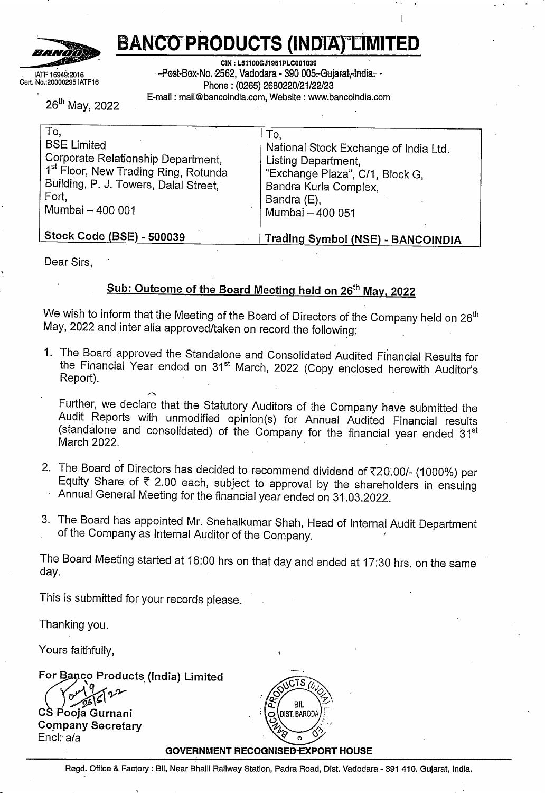

J

# **BANCO PRODUCTS (INDIA) LIMITED**

**CIN: L51100GJ1961PLC001039** Post Box No. 2562, Vadodara - 390 005. Gujarat, India. Phone : (0265) 2680220/21/22/23 E-mail : mail@bancoindia.com, Website : www.bancoindia.com

**Notes:-**

1. The above audited results (Standalone and Consolidated) have been prepared in accordance with Indian Accounting Standards ('IND AS) notified under section 133 of the companies Act 2013, read together with relevant rules issued there under and other accounting principles generally accepted in India.

2. The above financial results (Standalone and Consolidated) were reviewed and recommended by the Audit Committee on 26.05.2022 and subsequently approved by the Board of Directors at its meeting held on 26.05.2022.

3. The Company is primarily engaged in Automobile Ancillary business and therefore there is only one reportable segment.

4.The Figure for the Quarter ended 31st March 2022 and 31st March 2021 are the balancing figures between the audited figures in respect of the full finanical year and the published year to date figure (unaudited) upto the third quarter of the relevant financial year, which had been subject to limited feview by the statutory auditor.

5. The figures for the corresponding previous period have been regrouped/reclassified wherever necessary, to make them comparable with the.figures of current period.

6. The above results of the Company are available on the Company's website www.bancoindia.com and also on www.bseindia.com and www.nseindia.com.



For Bapeo Products (India) Limited

Fon Baneo Pre .<br>Chairman

Place- Vadodara Date :- 26.05.2022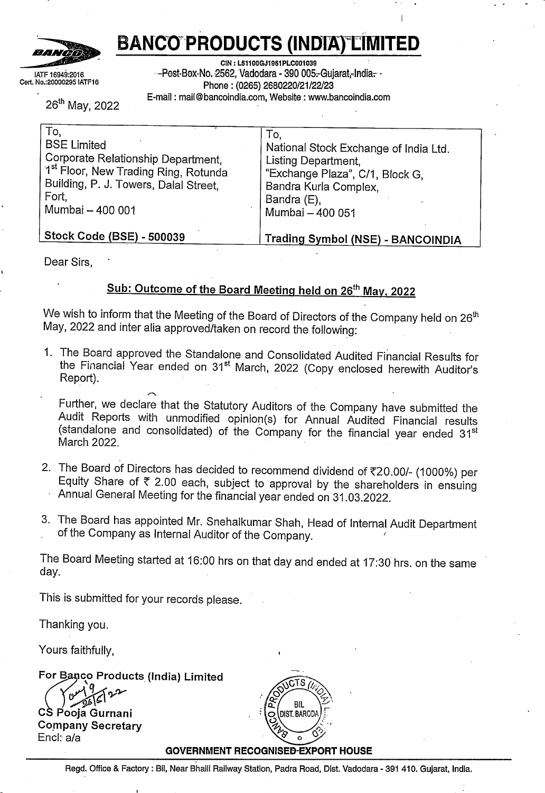

# **BANCO PRODUCTS {INDIA) LIMITED**

**CIN : L51100GJ1961PLC001039** Post Box No. 2562, Vadodara - 390 005. Gujarat, India. Phone: (0265) 2680220/21/22/23 E-mail : mail@bancoindia.com, Website : www.bancoindia.com

| Stand Alone Balance Sheet As at 31st March'2022 |                        | (Rs.in Lakhs)          |  |
|-------------------------------------------------|------------------------|------------------------|--|
| Particulars                                     | As at<br>31st Mar 2022 | As at<br>31st Mar 2021 |  |
| <b>ASSETS</b>                                   |                        |                        |  |
| Non current assets                              |                        |                        |  |
| Property, plant and equipment                   | 12,573                 | 11,823                 |  |
| Capital work-in-progress                        | 627                    | 2                      |  |
| Right of use of assets                          | 771                    | 780                    |  |
| Other intangible assets                         | 22                     | 18                     |  |
| Financial assets                                |                        |                        |  |
| Investments                                     | 15,134                 | 14,695                 |  |
| Other financial assets                          | 1,685                  | 420                    |  |
| Income tax assets (net of provision)            | 85                     | 454                    |  |
| Other non current assets                        | 416                    | 614                    |  |
|                                                 | 31,313                 | 28,806                 |  |
| Current assets                                  |                        |                        |  |
| Inventories                                     | 19,616                 | 15,559                 |  |
| Financial assets                                |                        |                        |  |
| Trade receivables                               | 19,421                 | 16,855                 |  |
| Cash and cash equivalents                       | 1,122                  | 6,806                  |  |
| Balances with banks other than 10A above        | 5,593                  | 3,845                  |  |
| Other financial assets                          | 219                    | 459                    |  |
| Other current assets                            | 1,170                  | 1,015                  |  |
|                                                 | 47,141                 | 44,539                 |  |
| <b>Total Assets</b>                             | 78,454                 | 73,345                 |  |
|                                                 |                        |                        |  |
| <b>EQUITY AND LIABILITIES</b>                   |                        |                        |  |
| Equity                                          |                        |                        |  |
| Equity share capital                            | 1,430                  | 1,430                  |  |
| Other equity                                    | 67,113                 | 60,090                 |  |
| Liabilities                                     |                        |                        |  |
| Non current liabilities                         |                        |                        |  |
| <b>Financial liabilities</b>                    |                        |                        |  |
| Lease liability                                 |                        |                        |  |
| Provisions                                      | 729                    | 481                    |  |
| Deferred tax liabilities (net)                  | 941                    | 980                    |  |
| Other non-current liabilities                   | 23                     | 23                     |  |
|                                                 | 70,236                 | 63,004                 |  |
|                                                 |                        |                        |  |
| <b>Current liabilities</b>                      |                        |                        |  |
| Financial liabilities                           |                        |                        |  |
| Borrowings                                      | 4                      | 265                    |  |
| Trade payables                                  |                        |                        |  |
| Due to micro and small enterprise               | 276                    | 352                    |  |
| Due to others                                   | 7,320                  |                        |  |
| Other financial liabilities                     |                        | 9,064                  |  |
| Other current liabilities                       | 347                    | 446                    |  |
| Provisions                                      | 164                    | 135                    |  |
|                                                 | 107                    | 79                     |  |
| Total Equity & Liabilities                      | 8,218                  | 10,341                 |  |
|                                                 | 78,454                 | 73,345                 |  |
|                                                 |                        | <b>REISWE</b>          |  |
|                                                 |                        | PRO<br>BIL             |  |
|                                                 |                        | O DIST. BAROD          |  |
| <b>GOVERNMENT RECOGNISED EXPORT HOUSE</b>       |                        |                        |  |

 $\circ$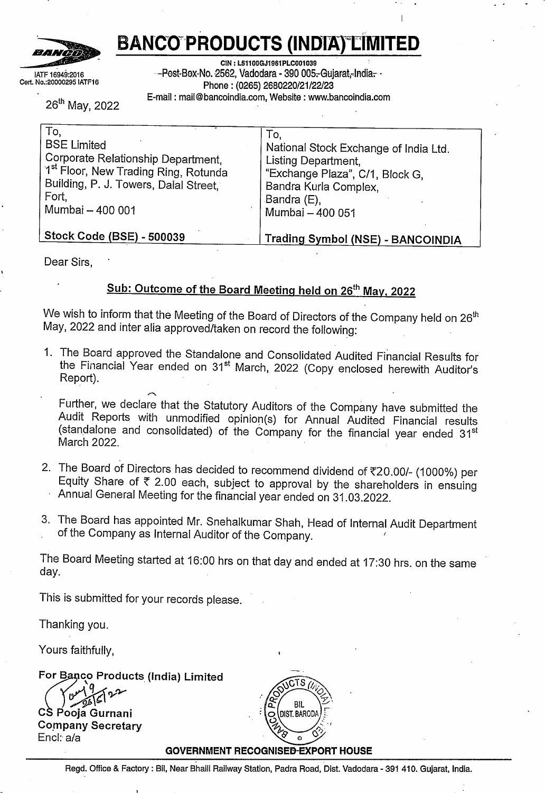

IATF 16949:2016 Cert. No.:20000295 IATF16

# **BANCO PRODUCTS (INDIA) LIMITED**

**CIN: L5110DGJ1961PLC001039**

Post Box No. 2562, Vadodara - 390 005. Gujarat, India.

Phone : (0265) 2680220/21/22/23

E-mail : mail@bancoindia.com, Website : www.bancoindia.com

| STANDALONE STATEMENT OF CASH FLOW FOR THE YEAR ENDED 31st MARCH, 2022    |                   |          |          | (Rs. in Lakhs) |
|--------------------------------------------------------------------------|-------------------|----------|----------|----------------|
| <b>PARTICULARS</b>                                                       |                   | 2021-22  |          | 2020-21        |
| (A) CASH FLOW FROM OPERATING ACTIVITIES                                  |                   |          |          |                |
| Net profit before tax                                                    |                   | 11,000   |          | 10,429         |
| Adjustments for non cash items/items required to be disclosed separately |                   |          |          |                |
| Depreciation                                                             | 1,974             |          | 1,998    |                |
| Interest and finance charges                                             | 36                |          | 62       |                |
| (Profit)/loss on sale of PPE                                             | (13)              |          | (3)      |                |
| Interest income                                                          | (330)             |          | (505)    |                |
| Unrealised foreign exchange (gain)/loss                                  | 58                |          | (166)    |                |
| Sundry balance write back                                                | $\left( 1\right)$ |          | (25)     |                |
| Sundry balance write off                                                 | 36                |          | 4        |                |
| Expected credit loss                                                     | 17                |          | 11       |                |
| Dividend received                                                        | (1, 971)          |          |          |                |
|                                                                          |                   | (194)    |          |                |
| Operating profit before working capital changes                          |                   | 10,806   |          | 1.376          |
|                                                                          |                   |          |          | 11,805         |
| Adjustments for changes in working capital & provisions                  |                   |          |          |                |
| (Increase)/decrease in trade receivable                                  |                   |          |          |                |
| (Increase)/decrease in inventories                                       | (2,638)           |          | (1,992)  |                |
| (Increase)/decrease in current financial assets                          | (4,058)           |          | (5,315)  |                |
| (Increase)/decrease in other current assets                              | (33)              |          | 17       |                |
| (Increase)/decrease in financial assets (non current)                    | (154)             |          | (635)    |                |
|                                                                          | 6                 |          |          |                |
| (Increase)/decrease in other non current assets                          | 76                |          | 1        |                |
| Increase/(decrease) in current liabilities                               | 29                |          | (60)     |                |
| Increase/(decrease) in other non-current liabilities                     | (1)               |          | (1)      |                |
| Increase/(decrease) in financial liabilities (current)                   | (99)              |          | 37       |                |
| Increase/(decrease) in trade payables                                    | (1, 859)          |          | 3,629    |                |
| Increase/(decrease) in provisions                                        | 104               |          | 37       |                |
|                                                                          |                   | (8,627)  |          | (4,282)        |
| Cash generated from operations                                           |                   | 2,179    |          | 7,523          |
| Income tax paid (net of refunds)                                         | (2,044)           |          | (1,590)  |                |
|                                                                          |                   | (2,044)  |          | (1,590         |
| Net cash flow from operating activities                                  |                   | 135      |          | 5,933          |
|                                                                          |                   |          |          |                |
| (B) CASH FLOW FROM INVESTING ACTIVITIES                                  |                   |          |          |                |
| Purchase of PPE & capital advances                                       | (3,223)           |          | (1, 925) |                |
| Sale of PPE                                                              | 15                |          | 3        |                |
| Purchase of financial assets (BNCL Investment)                           | (440)             |          |          |                |
| Sale of financial assets measured at FVTOCI                              |                   |          | 690      |                |
| (Increase)/decrease in bank term deposit                                 | (3,017)           |          | (2,682)  |                |
| Dividend received from subsidiaries                                      | 1,971             |          |          |                |
| Interest received                                                        | 602               |          | 142      |                |
|                                                                          |                   | (4,092)  |          |                |
| Net cash flow from investing activities                                  |                   |          |          | (3, 772)       |
|                                                                          |                   | (3,957)  |          | 2,161          |
| (C) CASH FLOW FROM FINANCING ACTIVITIES                                  |                   |          |          |                |
| Dividend paid                                                            |                   |          |          |                |
| Interest and finance charges paid                                        | (1, 430)          |          |          |                |
| Net cash flow from financing activities                                  | (36)              |          | (62)     |                |
| Net cash inflow/(outflow) during the year                                |                   | (1, 466) |          | (62)           |
| Cash and cash equivalents at the beginning of the year                   |                   | (5, 423) |          | 2,099          |
| Cash and cash equivalents at the end of the year                         |                   | 6,541    |          | 4,442          |
|                                                                          |                   | 1,118    |          | 6,541          |

**Note:-**

(a) Cash flow statement has been prepared under the 'Indirect Method' as set out in Ind AS-7 (b) Cash and cash equivalents comprises of

|                                                              |                             | (Rs. in Lakhs)      |
|--------------------------------------------------------------|-----------------------------|---------------------|
| Particulars                                                  | As at<br>31st March<br>2022 | As at<br>31st March |
| (i) Balances with banks in current accounts                  |                             | 2021                |
| l(ii) Cash on hand                                           | 1,117                       | 802                 |
|                                                              |                             |                     |
| (iii) Term deposit with original maturity less then 3 months |                             | 6,000               |
| Less:-Cash credit                                            | 1,122                       | 6,806               |
|                                                              | -4                          | $-265$              |
| Cash and cash equivalents as per cash flow statement         | 1.118                       | 6,541               |



4

Non Cash 31st March<br>Changes 2022

Changes

-261 Cash Flow

26 1st April 2021

**arisin from financin activities.**

Borrowing - current

**GOVERNMENT RECOGNISED EXPORT HOUSE**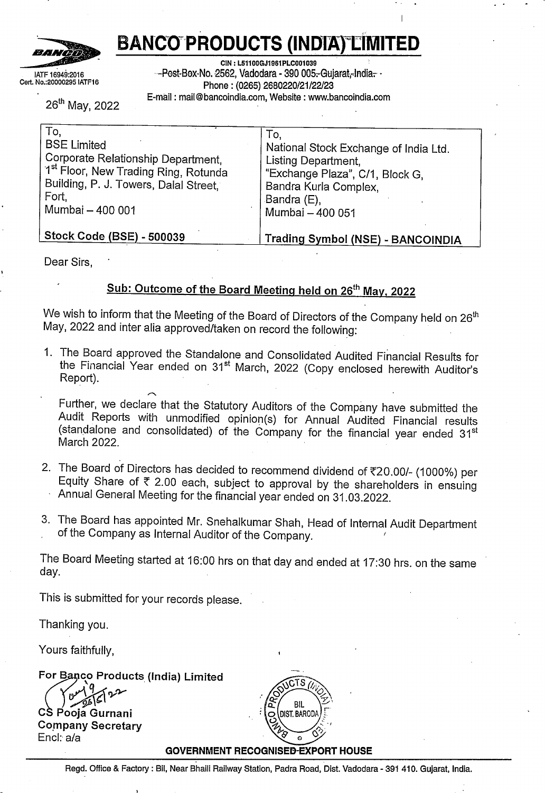

**BANCO PRODUCTS (INDIA) LIMITED**

**CIN : L51100GJ1961PLC001039**

Post Box No. 2562, Vadodara - 390 005. Gujarat, India.

Phone : (0265) 2680220/21/22/23

E-mail : mail@bancoindia.com, Website : www.bancoindia.com

| Consolidated Balance Sheet As at 31st March'2022                      |                        | Rs in Lakhs            |
|-----------------------------------------------------------------------|------------------------|------------------------|
| Particulars                                                           | As at<br>31st Mar 2022 | As at<br>31st Mar 2021 |
| <b>ASSETS</b>                                                         |                        |                        |
| Non current assets                                                    |                        |                        |
| Property, plant and equipment                                         | 18,548                 | 16,959                 |
| Capital work-in-progress                                              | 1,492                  | 103                    |
| Right of use assets                                                   | 10,099                 | 780                    |
| Other intangible assets                                               | 1,004                  | 1,239                  |
| Financial assets                                                      |                        |                        |
| Investments                                                           | 51                     | 81                     |
| Loan                                                                  |                        |                        |
| Other financial assets                                                | 2,238                  | 424                    |
| Deferred tax assets                                                   | 3,022                  | 2,853                  |
| Income tax assets (net of provision)                                  |                        | 26                     |
| Other non current assets                                              | 649                    | 679                    |
|                                                                       | 37,103                 | 23,144                 |
| Current assets                                                        |                        |                        |
| Inventories                                                           | 72,049                 | 56,391                 |
| Financial assets <sup>:</sup>                                         | ÷                      |                        |
| Investments                                                           |                        |                        |
| Trade receivables                                                     |                        |                        |
|                                                                       | 32,425                 | 27,029                 |
| Cash and cash equivalents<br>Balances with banks other than 11A above | 1,295                  | 7,396                  |
|                                                                       | 6,861                  | 4,866                  |
| Other financial assets                                                | 247                    | 479                    |
| Other current assets                                                  | 3,204                  | 2,215                  |
|                                                                       | 1,16,081               | 98,376                 |
| Total Assets                                                          | 1,53,184               | 1,21,520               |
| EQUITY AND LIABILITIES                                                |                        |                        |
| Equity                                                                |                        |                        |
| Equity share capital                                                  |                        |                        |
|                                                                       | 1,430                  | 1,430                  |
| Other equity                                                          | 96,742                 | 81,413                 |
| <b>LIABILITIES</b>                                                    |                        |                        |
| Non Current Liabilities                                               |                        |                        |
| Financial liabilities                                                 |                        |                        |
|                                                                       |                        |                        |
| Long term borrowing                                                   | 529                    | 590                    |
| Lease Liablities                                                      | 7,833                  |                        |
| Provisions                                                            | 987                    | 690                    |
| Deferred tax liabilities                                              | 7,827                  | 6,690                  |
| Income tax Liability (net of advance tax)                             | 1,238                  |                        |
| Other non current liabilities                                         | 28                     | 23                     |
|                                                                       | 1,16,614               | 90,836                 |
|                                                                       |                        |                        |
| Current liabilities                                                   |                        |                        |
| Financial liabilities                                                 |                        |                        |
| Borrowings                                                            | 1,454                  | 833                    |
| Lease Liability                                                       | 1,705                  |                        |
| Trade payables                                                        |                        |                        |
| Due to micro and small enterprise                                     |                        |                        |
| Due to others                                                         | 312                    | 364                    |
| Other financial liabilities                                           | 30,012                 | 28,088                 |
| Other current liabilities                                             | 2,076                  | 668                    |
| Provisions                                                            | 870                    | 563                    |
|                                                                       | 141                    | 168                    |
|                                                                       | 36,570                 | 30,684                 |
| Total Equity & Liabilities                                            | 1,53,184               | 1,21,520               |
|                                                                       |                        |                        |

CTS **BIL DIST. BAROD** 

#### **GOVERNMENT RECOGNISED EXPORT HOUSE**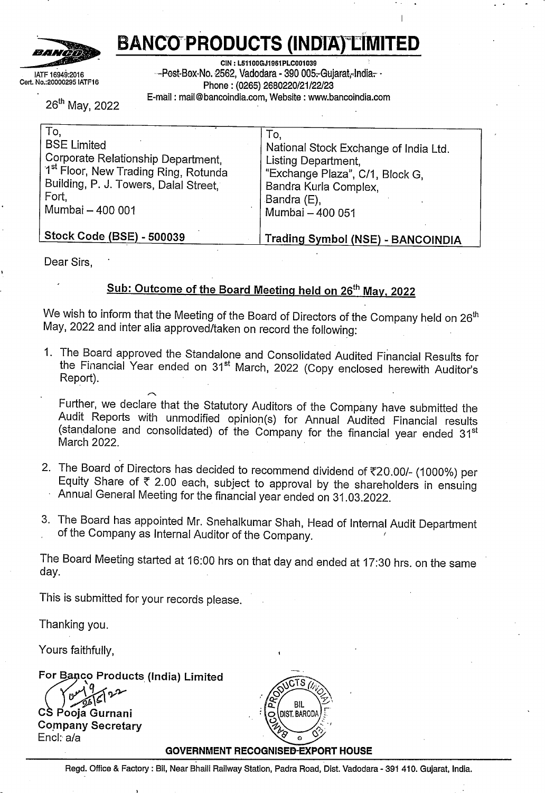# **BANCO PRODUCTS (INDIA) LIMITED**

**CIN : L51100GJ1961PLC001039**

Post Box No. 2562, Vadodara - 390 005. Gujarat, India.

IATF 16949:2016 Cert. No.:20000295 IATF16

BANĞÕ

Phone : (0265} 2680220/21/22/23

 $\frac{(\text{Rs. in Lakhs})}{2020-21}$ E-mail: mail@bancoindia.com, Website: www.bancoindia.com **CONSOLIDATED STATEMENT OF CASH FLOW FOR THE YEAR ENDED 31ST MARCH, 2022 (Rs. i)**<br>PARTICULARS PROMOTED ACTIVITIES (PARTICULARS 2021-22 2020-21<br>CASH FLOW FROM OTED ATTIVIC ACTIVITIES **(A)** CASH FLOWFROM OPERATING ACTIVITIES Net profit before tax<br>
Adjustments for non cash items/items required to be disclosed separately<br> **Adjustments for non cash items/items required to be disclosed separately Depreciation**  $\begin{array}{c|c}\n4,787 \\
525\n\end{array}$  3,368 Interest and finance charges paid 362<br>13 (Profit)/loss on PPE  $(78)$ Loss on sale of Investment Assets 7 **Interestincome** Finderest fricome<br>
Unrealised foreign exchange (gain)/loss (30<br>
(374) (180<br>
(180  $\begin{array}{c|c}\n 61 & (180) \\
 168 & (73)\n\end{array}$ Expected credit loss<br>Sundry creditor write back/off  $\begin{bmatrix} 168 \\ 37 \end{bmatrix}$  (73) Expected credit loss<br>
Sundry creditor write back/off (73)<br>
Effect of exchange rate difference in translation (37) (37) (37) (37) (37) (37) (37) 1,692 431  $\frac{6,825}{29,201}$   $\overline{\qquad}$   $\qquad \qquad \frac{3,320}{18,304}$ Operating profit before working capital changes Adjustments for changes in working capital & provisions (Increase)/decrease in trade receivable  $(5,621)$  2,595<br>15,657) (8.771) **(lncrease)/decrease in inventories**  $(15,657)$   $(8,771)$   $(577)$ (Increase)/decrease in other current assets (10000) (6,777)<br>(Increase)/decrease in non current assets (588) (577) (577) (577) **(Increase)/decrease in non curr ent assets** 77 49 (lncrease)/decrease in financial assets  $-32$  20 (Increase)/decrease in financial assets - (Increase)/decrease in investment property - - Increase/(decrease) in current liabilities 307 307 226<br>
Increase/(decrease) in financial liabilities 336 326 Increase/(decrease) in financial liabilities 1,409 1,409 236<br>
Increase/(decrease) in trade payables 1,831 1,831 6,284 lncrease/(decrease) in trade payables 1,831 corrected and other non current liability 1,831 6,284 correctes 1,831 6,284 lncrease/(decrease) in provisions and other non current liability <sup>58</sup> (72)  $\begin{array}{|c|c|c|}\n \hline\n -18,616 & (10) \\
 \hline\n 10,585 & 18,294 \\
 \hline\n\end{array}$ Cash generated from operations **10,585** 18,2861) **12,3861** 18,3861 Income tax paid (net of refunds)  $(4,861)$   $(2,614)$  $\begin{array}{|c|c|c|}\n \hline\n (4,861) & (2,614) \\
 \hline\n 5,724 & 15.680\n \end{array}$ Net cash flow fromoperating activities 5,724 **15,680** (B) CASH FLOW FROM INVESTING ACTIVITIES Purchase of PPE & capital advances<br>Sale of PPE  $\begin{bmatrix} (7,500) \\ 220 \end{bmatrix}$  (2,656) Sale of PPE 220 (2,656)<br>Sale of PPE 220 (546)<br>Sale of Ignoration of Presence 220 (546) Sale of Investment Property 22 Sale of financial assets measured at FVTOCI 690 (lncrease)/decrease in bank balance termdeposit (3,811) (3,507) **Interest received** 640 147  $(10,429)$  (5.872) Net cash flow from investing activities **(4,705)** 9,808 (C) CASH FLOW FROM FINANCING ACTIVITIES Dividend paid (1,430) Short-term loan from banks (net)  $\begin{bmatrix} 893 \\ (526) \end{bmatrix}$  (7,428) Interest and finance charges paid Long term borrowing (net)<br>
(362) (362)<br>
Net cash flow from financing activities (39) Net cash flow from financing activities  $(1.124)$ Net cash how from imancing activities<br>Net cash inflow/(outflow) during the year<br>1,000 1,000 1,000 1,000 1,000 1,000 1,000 1,000 1,000 1,000 1,000 1,000 1,000 1,000 1,000 1,000 1,000 1,000 1,000 1,000 1,000 1,000 1,000 1,00 **(5,829) 1,989** Cash and cash equivalents at the beginning of the year C 7120 **5.131-** ashand cashequivalents at the end ofthe year  $\frac{7,120}{1,291}$   $\frac{5,131}{7,120}$ **Note:-** (a) Cash flow statement has been prepared under the 'Indirect Method' as set out in Ind AS-7 (b) Cash and cash equivalents comprises of in Lakhs)<br>As at  $\frac{1}{\text{As at}}$   $\frac{1}{\text{As at}}$ As at<br>
31st March,<br>
2022<br>
2021<br>
2021 (i) Balances with banks in current accounts 2022<br>
(ii) Cash on hand<br>
2021<br>
2021<br>
2021<br>
2021<br>
2021 (i) Cash on hand 1,274  $\boxed{1,274}$  1,378 (iii) Term deposit with original maturity less then 3 months  $21$  18  $\frac{1}{1,295}$   $\frac{6,000}{7,396}$ Less: Cash credit **1,295** 7,396  $\frac{(4)}{1,291}$ **Cash and cash cauivalcnts as per cash flow statement** *(276* **1,291** 7.120 <sup>I</sup> - **fc) Changesin liabilitv narisinc from financin activities.** 1st April, Cash Flow Non Cash 31st March,<br>Changes 2022 **Changes Borrowing- non current** <sup>590</sup> (61) **Borrowing - current** - 529 (  $\begin{array}{|c|c|c|c|c|c|}\n \hline\n 833 & 621 & - & 1,454\n \end{array}$ **GOVERNMENT RECOGNISED EXPORT HOUSE**<br>
Rear Bhaili Railway Station, Padra Road, Dist. Vadodara - 391 410. Gujarat, India 8 *<u>i</u>* BIL 2 GOVERNMENT RECOGNISED EXPORT HOUSE<br>Regd. Office & Factory : Bil, Near Bhaili Railway Station, Padra Road, Dist. Vadodara - 391 410. Gujarat, India.

CTS

 $Q$  (DIST. BARODA

 $\hat{\varphi}$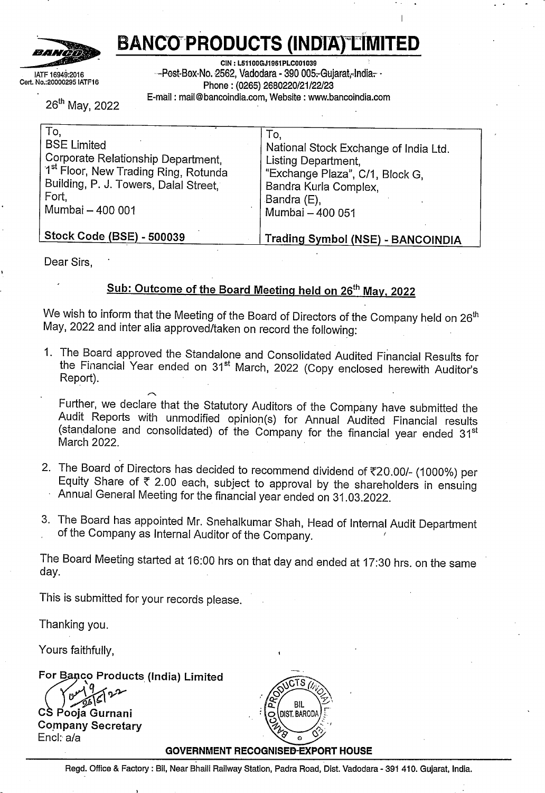# **PARIKH SHAH CHOTALIA & ASSOCIATES**

#### **INDEPENDENT AUDITORS' REPORT**

# **To, THE BOARD OF DIRECTORS, BANCO PRODUCTS (INDIA) LIMITED VADODARA**

## **Report on the Audit of the Standalone Financial Results**

## **Opinion**

We have audited the accompanying financial results of **Banco Products (India) Limited** ("the Company"), for the quarter and year ended 31<sup>st</sup> March, 2022, ("the Statement") attached herewith being submitted by the Company pursuant to the requirement of Regulation 33 of the SEBI (Listing Obligations and Disclosure Requirements) Regulations,2015, as amended ('Listing Regulations')

In our opinion and to the best of our information and according to the explanations given to us, the aforesaid financial results:

- i. are presented in accordance with the requirements of Regulation 33 of the Listing Regulations in this regard; and
- ii. give a true and fair view in conformity with the recognition and measurement principles laid down in the Indian Accounting Standards ("Ind AS"), and other accounting principles generally accepted in India, of net profit and other comprehensive income and other financial information of the Company for the year ended 31st March, 2022.

## **Basis for Opinion**

We conducted our audit of the standalone financial statements in accordance with the Standards on Auditing (SAs) specified under section 143(10) of the Companies Act, 2013. Our responsibilities under those Standards are further described in the *Auditor's Responsibilities for the Audit* of *the Financial Statements* section of our report. We are independent of the Company in accordance with the Code of *Ethics* issued by the Institute of Chartered Accountants of India together with the ethical requirements that are relevant to our audit of the financial statements under the provisions of the Companies Act, 2013 and the Rules thereunder, and we have fulfilled our other ethical responsibilities in accordance with these requirements and the Code of Ethics. We believe that the audit evidence we have obtained is sufficient and appropriate to<br>provide a basis for our opinion. EXOTALIA P EXAMPLERED

Page 1 of 4



phone: +91 2717 466287 +91 9924503672 E-mail: sharad@psca.in

*??*

**CHARTERED**<br>ACCOUNTANTS<br>BARADKURDRKOTHARH<br>ERN 118493W

*P4*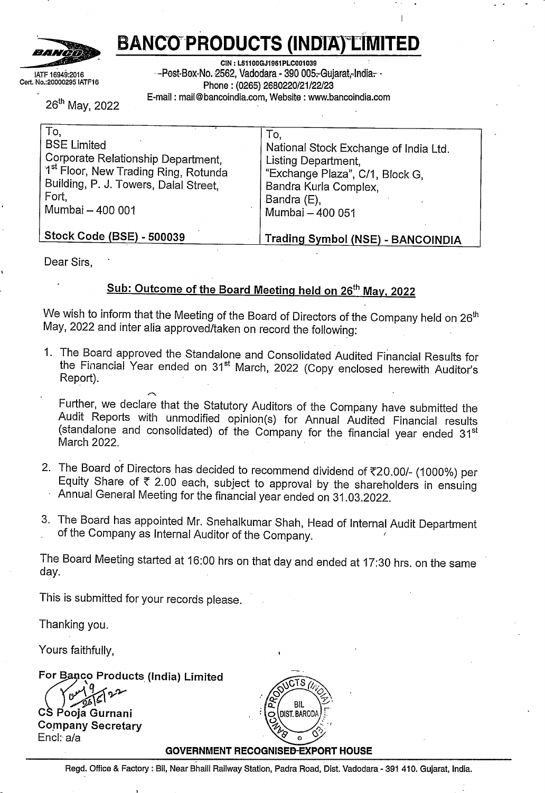# **Management's Responsibilities for the Standalone Financial Results**

The Statement has been prepared on the basis of the standalone annual financial statement. The Board of Directors of the Company are responsible for the preparation and presentation of the Statement that gives a true and fair view of the net profit and other comprehensive income and other financial information in accordance with the recognition and measurement principles laid down under applicable accounting standards prescribed under Section 133 of the Act read with relevant rules issued there under and other accounting principles generally accepted in India and in compliance with Regulation 33 of the Listing Regulations. This responsibility also includes maintenance of adequate accounting records in accordance with the provisions of the Act for safeguarding of the assets of the Company and for preventing and detecting frauds and other irregularities; selection and application of appropriate accounting policies; making judgments and estimates that are reasonable and prudent; and the design, implementation and maintenance of adequate internal financial controls, that were operating effectively for ensuring the accuracy and completeness of the accounting records, relevant to the preparation and presentation of the Statement that give a true and fair view and are free from material misstatement, whether due to fraud or error.

In preparing the standalone financial statements, the Board of Directors are responsible for assessing the Company's ability to continue as a going concern, disclosing, as applicable, matters related to going concern and using the going concern basis of accounting unless management either intends to liquidate the Company or to cease operations, or has no realistic alternative but to do so.

The Board of Directors is also responsible for overseeing the Company's financial reporting process.

# **Auditors' Responsibilities for the Audit of the Standalone Financial Results**

Our objectives are to obtain reasonable assurance about whether the standalone financial results as a whole are free from material misstatement, whether due to fraud or error, and to issue an auditor's report that includes our opinion. Reasonable assurance is a high level of assurance, but is not a guarantee that an audit conducted in accordance with SAs will always detect a material misstatement when it exists. Misstatements can arise from fraud or error and are considered material if, individually or in the aggregate, they could reasonably be expected to influence the economic decisions of users taken on the basis of these standalone financial results.

As part of an audit in accordance with SAs, we exercise professional judgment and maintain professional skepticism throughout the audit. We also,



Page **<sup>2</sup>** of **<sup>4</sup>**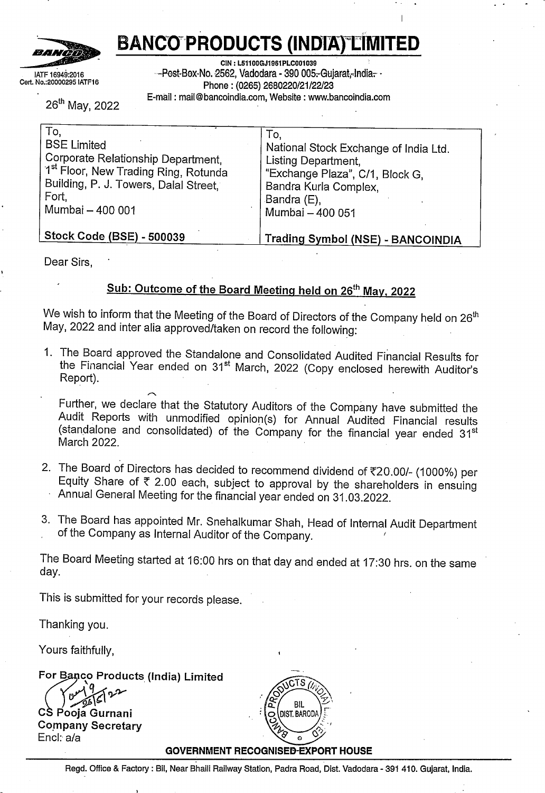- Identify and assess the risks of material misstatement of the standalone financial statements, whether due to fraud or error, design and perform audit procedures responsive to those risks, and obtain audit evidence that is sufficient and appropriate to provide a basis for our opinion. The risk of not detecting a material misstatement resulting from fraud is higher than for one resulting from error, as fraud may involve collusion, forgery, intentional omissions, misrepresentations, or the override of internal control.
- Obtain an understanding of internal financial controls relevant to the audit in order to design audit procedures that are appropriate in the circumstances. Under section 143(3) (i) of the Act, we are also responsible for expressing our opinion on whether the Company has adequate internal financial controls system in place and the operating effectiveness of such controls.
- Evaluate the appropriateness of accounting policies used and the reasonableness of accounting estimates and related disclosures made by the management.
- Conclude on the appropriateness of management's use of the going concern basis of accounting and, based on the audit evidence obtained, whether a material uncertainty exists related to events or conditions that may cast significant doubt on the Company's ability to continue as a going concern. If we conclude that a material uncertainty exists, we are required to draw attention in our auditor's report to the related disclosures in the standalone financial statements or, if such disclosures are inadequate, to modify our opinion. Our conclusions are based on the audit evidence obtained up to the date of our auditor's report. However, future events or conditions may cause the Company to cease to continue as a going concern.
- Evaluate the overall presentation, structure and content of the standalone financial statements, including the disclosures, and whether the standalone financial statements represent the underlying transactions and events in a manner that achieves fair presentation.

Materiality is the magnitude of misstatements in the Standalone Financial Results that makes it probable that the economic decisions of a reasonably knowledgeable user of the Standalone Financial Results may be influenced. We consider quantitative materiality and qualitative factors in (i) planning the scope of our audit work and in evaluating the results of our work; and (ii) to evaluate the effect of any identified misstatements in the Standalone Financial Results.

We communicate with those charged with governance regarding, among other matters, the planned scope and timing of the audit and significant audit findings, including any significant deficiencies in internal control that we Identify during our audit.



Page **<sup>3</sup>** of **<sup>4</sup>**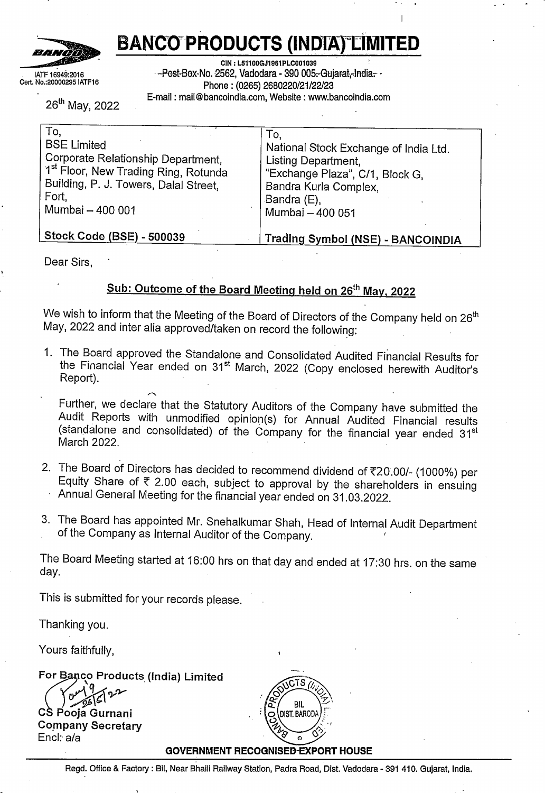We also provide those charged with governance with a statement that we have complied with relevant ethical requirements regarding independence, and to communicate with them all relationships and other matters that may reasonably be thought to bear on our independence, and where applicable, related safeguards.

## **Other Matters**

The Statement includes the results for the Quarter ended 31st March 2022, being the balancing figure between audited figures in respect of the full financial year ended 31st March 2022 and the published year to date figures up to the third quarter of the current financial year, which were subject to limited review by us, as required under the Listing Regulations.

# **For PARIKH SHAH CHOTALIA & ASSOCIATES CHARTERED ACCOUNTANTS Firm Reg. No. 118493W ,** *./::··,L~:.,>* **SPARIKH SHAH CHOTALIA & A**<br>
HARTERED ACCOUNTANTS<br>
FORE COMPANY Jr;'.:, -i·;<sup>s</sup>



**CA. Sharadkumar G. Kothari PARTNER Mem. No.168227 UDIN:** 22168227AJPXEW3527

**VADODARA, 26 May, <sup>2022</sup>**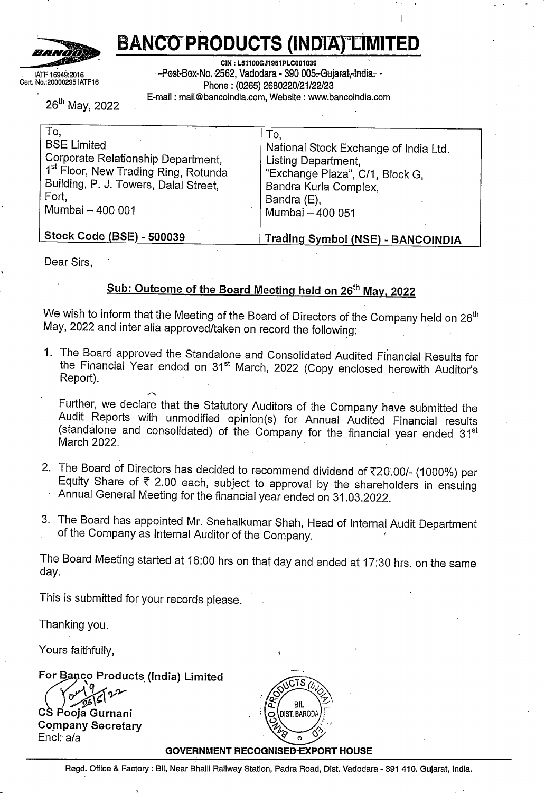# **PARIKH SHAH CHOTALIA & ASSOCIATES**

#### **INDEPENDENT AUDITORS' REPORT**

## **To, THE BOARD OF DIRECTORS, BANCO PRODUCTS (INDIA) LIMITED VADODARA**

# **Report on the Audit of the Consolidated Financial Results**

We have audited the accompanying consolidated annual financial results of **BANCO PRODUCTS (INDIA) LIMITED** [hereinafter referred to as "the Holding Company") and its subsidiaries, [the Holding Company and its subsidiaries collectively referred to as "the Group") for the quarter and year ended **31° March, 2022,** attached herewith, being submitted by the Holding Company pursuant to the requirement of Regulation 33 of the SEBI [Listing Obligations and Disclosure Requirements) Regulations, 2015, as amended ['Listing Regulations')

In our opinion and to the best of our information and according to the explanations given to us, and based on the consideration of reports of other auditors on separate audited financial statements /financial results/ financial information of the subsidiaries, the aforesaid consolidated financial results:

i. include the annual financial results of the following entities

## **Direct Subsidiaries:**

Banco Gaskets [India) Limited Nederlandse Radiateuren Fabriek B.V. Banco New Energy Cooling System Limited

#### **Indirect Subsidiaries:**

NRF Thermal Engineering BV NRF France SARL NRF Deutschland GMBH NRF Espana S.A. NRF Poland Sp.z.o.o. NRF Italia Sri NRF Switzerland AG NRF US Inc. NRF Thermal Engineering Poland Sp.z.o.o.

are presented in accordance with the requirements of Regulation 33 of the Listing Regulations in this regard; and ii.

Page **<sup>1</sup>** of **<sup>5</sup>**

**<sup>D</sup> 1408, Sun Central Place, Nr Bopal Circle, S.D. Ring Road, Ahmedabad - 380 058**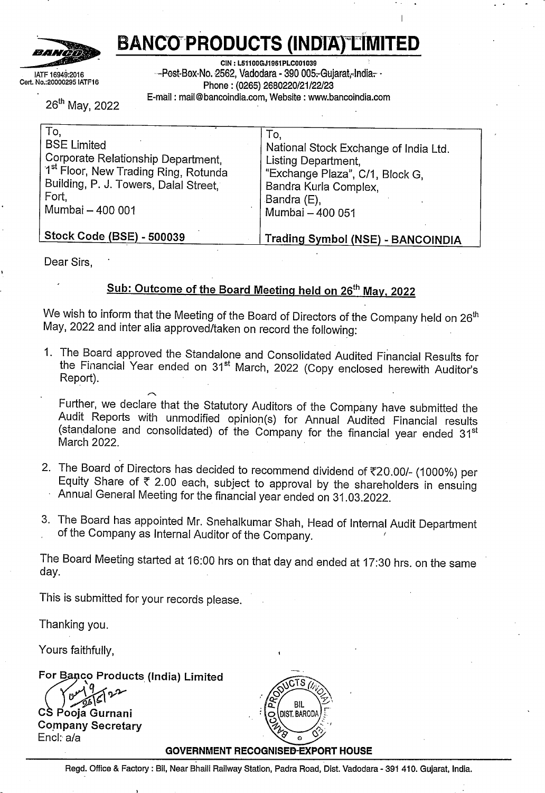iii. give a true and fair view in conformity with the recognition and measurement principals laid down in the Indian Accounting Standards ["Ind AS") and other accounting principles generally accepted in India, of consolidated net profit and consolidated other comprehensive income and other financial information of the Group for the quarter and year ended 31st March, 2022.

# **Basis for Opinion**

We conducted our audit in accordance with the Standards on Auditing [SAs) specified under section 143[10) of the Companies Act, 2013. Our responsibilities under 'those Standards are further described in the *Auditors' Responsibilities for the Audit bf the Consolidated Financial Results* section of our report. We are independent of the Company in accordance with the Code *of Ethics* issued by the Institute of Chartered Accountants of India together with the ethical requirements that are relevant to our audit of the consolidated financial statements under the provisions of the Companies Act, 2013 and the Rules thereunder, and we have fulfilled our other ethical responsibilities in accordance with these requirements and the Code of Ethics. We believe that the audit evidence obtained by us and other auditors in terms Of their reports referred to in "Other Matters" paragraph below, is sufficient and appropriate to provide a basis for our opinion.

# **Board of Directors' Responsibilities for the Consolidated Financial Results**

The consolidated financial results have been prepared on the basis of the consolidated annual financial statement. The Holding Company's Board of Directors are responsible for the preparation and presentation of the these consolidated annual financial results that gives a true and fair view of the net profit and other comprehensive income and other financial information of the Group in accordance with the recognition and measurement principles laid down under applicable accounting standards prescribed under Section 133 of the Act read with relevant rules issued there under and other accounting principles generally accepted in India and in compliance with Regulation 33 of the Listing Regulations. This responsibility also includes maintenance of adequate accounting records in accordance with the provisions of the Act for safeguarding of the assets of the Group and for preventing and detecting frauds and other irregularities; selection and application of appropriate accounting policies; making judgments and estimates that are reasonable and prudent; and the design, implementation and maintenance of adequate internal financial controls, that were operating effectively for ensuring the accuracy and completeness of the accounting records, relevant to the preparation and presentation of the consolidated annual financial results that give a true and fair view and are free from material misstatement, whether due to fraud or error, which have been used for the purpose of preparation of the consolidated financial results by the Directors of the Holding Company.

In preparing the consolidated financial results, the Board of Directors are responsible for assessing the ability of the Group to continue as a going concern, disclosing, as disessing the dollary of the Group to commission and using the going concern basis of applicable, matters related to going concern and using the going concern basis of  $Page 2 of 5$ 

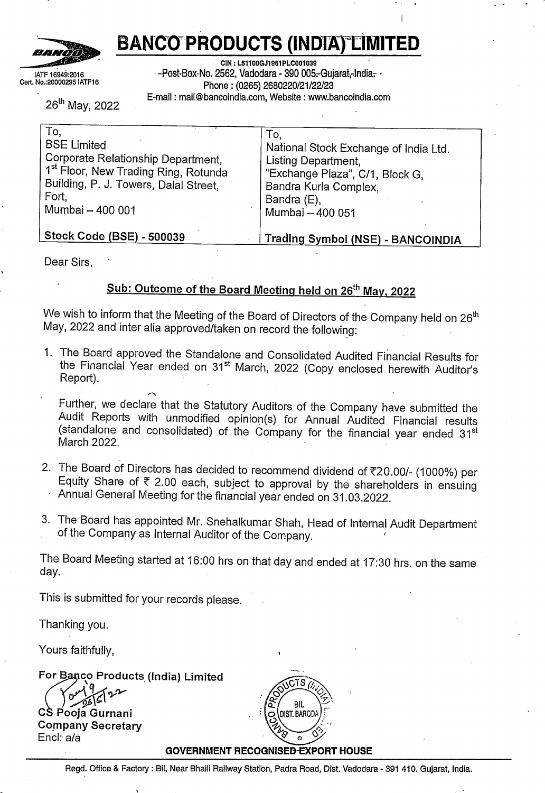accounting unless the Board of Directors either intends to liquidate the Group or to cease operations, or has no realistic alternative but to do so.

The respective Board of Directors of the companies included in the Group and of its associates and jointly controlled entities is responsible for overseeing the financial reporting process of the Group.

## **Auditors' Responsibilities for the Audit of the Consolidated Financial Results**

Our objectives are to obtain reasonable assurance about whether the consolidated financial statements as a whole are free from material misstatement, whether due to fraud or error, and to issue an auditors' report that includes our opinion. Reasonable assurance is a high level of assurance, but is not a guarantee that an audit conducted in accordance with SAs will always detect a material misstatement when it exists. Misstatements can arise from fraud or error and are considered material if, individually or in the aggregate, they could reasonably be expected to influence the economic decisions of users taken on the basis of these financial statements.

As part of an audit in accordance with SAs, we exercise professional judgment and maintain professional skepticism throughout the audit. We also,

- Identify and assess the risks of material misstatement of the consolidated financial statements, whether due to fraud or error, design and perform audit procedures responsive to those risks, and obtain audit evidence that is sufficient and appropriate to provide a basis for our opinion. The risk of not detecting a material misstatement resulting from fraud is higher than for one resulting from error, as fraud may involve collusion, forgery, intentional omissions, misrepresentations, or the override of internal control.
- Obtain an understanding of internal financial controls relevant to the audit in order to design audit procedures that are appropriate in the circumstances. Under section 143(3) (i) of the Act, we are also responsible for expressing our opinion on whether the Company has adequate internal financial controls system in place and the operating effectiveness of such controls.
- Evaluate the appropriateness of accounting policies used and the reasonableness of accounting estimates and related disclosures made by management.
- Conclude on the appropriateness of management's use of the going concern basis of accounting and, based on the audit evidence obtained, whether a material uncertainty exists related to events or conditions that may cast significant doubt on the Company's ability to continue as a going concern. If we conclude that a material uncertainty exists, we are required to draw attention in our auditors' report to the related disclosures in the consolidated financial results or, if such disclosures are inadequate, to modify our opinion. Our conclusions are based on the audit evidence obtained up to the date of our<br>Page 3 of 5

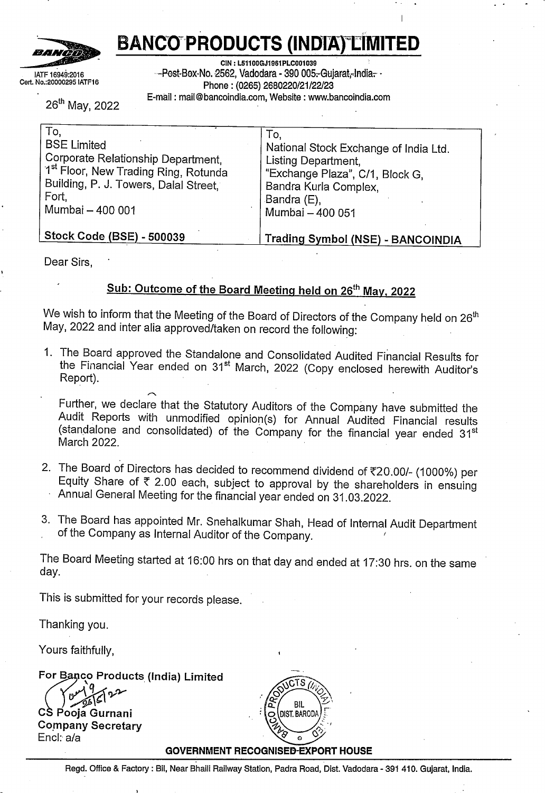auditors' report. However, future events or conditions may cause the Group to cease to continue as a going concern.

- Evaluate the overall presentation, structure and content of the consolidated financial results, including the disclosures, and whether the consolidated financial results represent the underlying transactions and events in a manner that achieves fair presentation.
- Obtain sufficient appropriate audit evidence regarding the financial information of the entities or business activities within the Group to express an opinion on the consolidated financial statements. We are responsible for the direction, supervision and performance of the audit of the financial statements of such entities included in the consolidated financial statements of which we are the independent auditors. For the other entities or business activities included in the Consolidated Financial Statements, which have been audited by other auditors, such other auditors remain responsible for the direction, supervision and performance of the audits carried out by them. We remain solely responsible for our audit opinion.

Materiality is the magnitude of misstatements in the Consolidated Financial Results that, individually or in aggregate, makes it probable that the economic decisions of a reasonably knowledgeable user of the Consolidated Financial Results may be influenced. We consider quantitative materiality and qualitative factors in (i) planning the scope of our audit work and in evaluating the results of our work; and  $\overline{v}$  to evaluate the effect of any identified misstatements in the Standalone Financial Results.

We communicate with those charged with governance of the Holding company regarding, among other matters, the planned scope and timing of the audit and significant audit findings, including any significant deficiencies in internal control that we identify during our audit.

We also provide those charged with governance with a statement that we have complied with relevant ethical requirements regarding independence, and to communicate with them all relationships and other matters that may reasonably be thought to bear on our independence, and where applicable, related safeguards.

We also performed procedures in accordance with the circular issued by the SEBI under Regulation 33(8) of the Listing Regulations, as amended, to the extent applicable.

# **Other Matters**

We did not audit the financial statements/consolidated financial information of subsidiary companies included in consolidated financial results, whose financial statements/ consolidated financial information reflect total assets of Rs. 92,048.31 Lakhs as at 31st March, 2022, total revenues of Rs. 31,663.62 Lakhs and Rs. 1,27,379.02 Lakhs. total net profit after tax of Rs. 2,428.71 Lakhs and Rs. 10,524.87 Lakhs and other

Page **<sup>4</sup>** of **<sup>5</sup>**